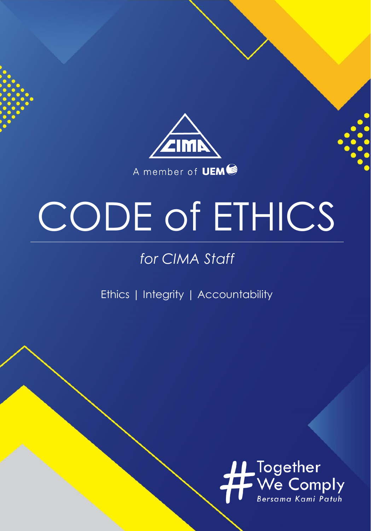

# CODE of ETHICS

#### *for CIMA Staff*

Ethics | Integrity | Accountability

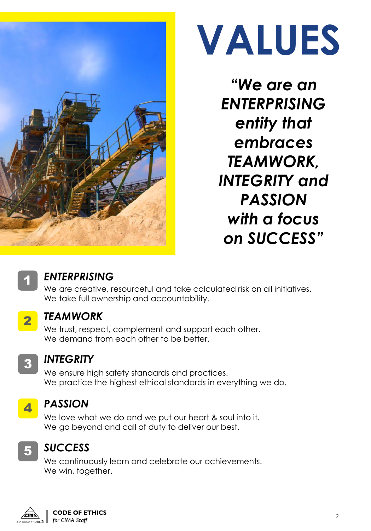



*"We are an ENTERPRISING entity that embraces TEAMWORK, INTEGRITY and PASSION with a focus on SUCCESS"*



#### *ENTERPRISING*

We are creative, resourceful and take calculated risk on all initiatives. We take full ownership and accountability.



#### *TEAMWORK*

We trust, respect, complement and support each other. We demand from each other to be better.



#### *INTEGRITY*

We ensure high safety standards and practices. We practice the highest ethical standards in everything we do.



#### *PASSION*

We love what we do and we put our heart & soul into it. We go beyond and call of duty to deliver our best.



#### *SUCCESS*

We continuously learn and celebrate our achievements. We win, together.

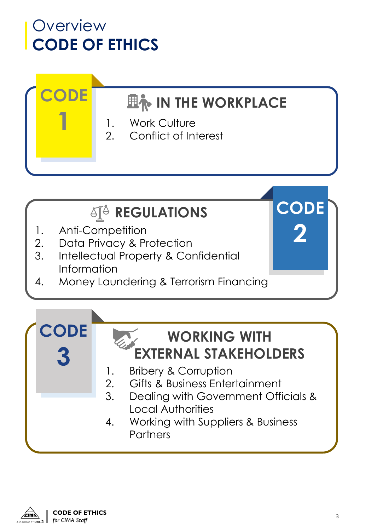#### **Overview CODE OF ETHICS**

**CODE**

**1**

#### **EN IN THE WORKPLACE**

- 1. Work Culture
- 2. Conflict of Interest

#### *<b>AIA REGULATIONS*

- 1. Anti-Competition
- 2. Data Privacy & Protection
- 3. Intellectual Property & Confidential Information
- 4. Money Laundering & Terrorism Financing





**CODE**

**2**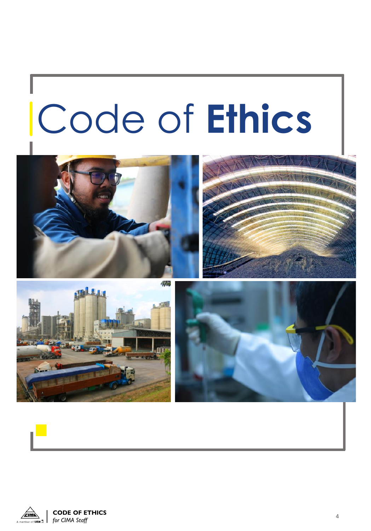# Code of **Ethics**









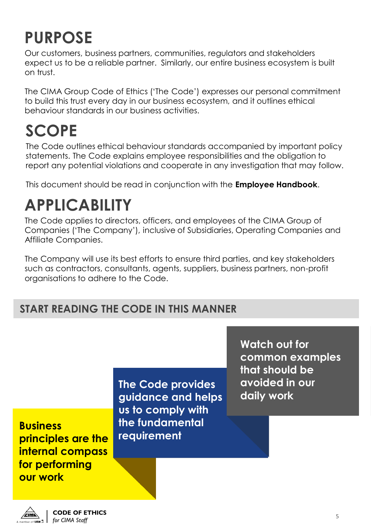#### **PURPOSE**

Our customers, business partners, communities, regulators and stakeholders expect us to be a reliable partner. Similarly, our entire business ecosystem is built on trust.

The CIMA Group Code of Ethics ('The Code') expresses our personal commitment to build this trust every day in our business ecosystem, and it outlines ethical behaviour standards in our business activities.

#### **SCOPE**

The Code outlines ethical behaviour standards accompanied by important policy statements. The Code explains employee responsibilities and the obligation to report any potential violations and cooperate in any investigation that may follow.

This document should be read in conjunction with the **Employee Handbook**.

#### **APPLICABILITY**

The Code applies to directors, officers, and employees of the CIMA Group of Companies ('The Company'), inclusive of Subsidiaries, Operating Companies and Affiliate Companies.

The Company will use its best efforts to ensure third parties, and key stakeholders such as contractors, consultants, agents, suppliers, business partners, non-profit organisations to adhere to the Code.

#### **START READING THE CODE IN THIS MANNER**

**Business principles are the internal compass for performing our work**

**The Code provides guidance and helps us to comply with the fundamental requirement**

**Watch out for common examples that should be avoided in our daily work**

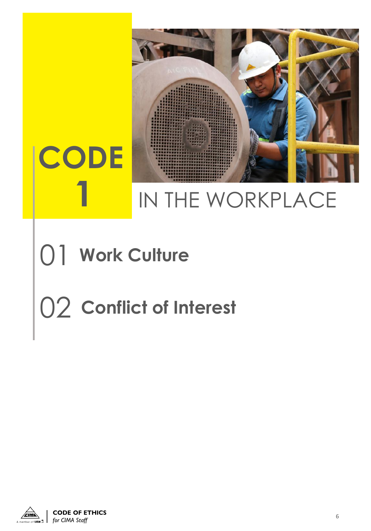

# IN THE WORKPLACE

## 01 **Work Culture**

**1**

# 02 **Conflict of Interest**

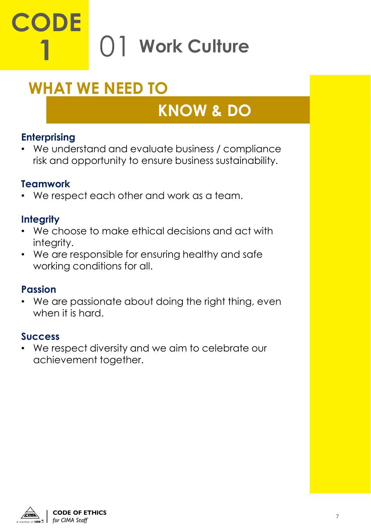# **CODE 1** 01 **Work Culture**

#### **WHAT WE NEED TO**

#### **KNOW & DO**

#### **Enterprising**

• We understand and evaluate business / compliance risk and opportunity to ensure business sustainability.

#### **Teamwork**

• We respect each other and work as a team.

#### **Integrity**

- We choose to make ethical decisions and act with intearity.
- We are responsible for ensuring healthy and safe working conditions for all.

#### **Passion**

• We are passionate about doing the right thing, even when it is hard.

#### **Success**

• We respect diversity and we aim to celebrate our achievement together.

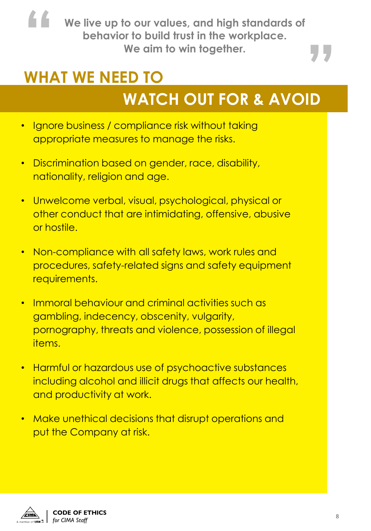**We live up to our values, and high standards of We aim to win together. " behavior to build trust in the workplace.**

# **" WHAT WE NEED TO**

- Ignore business / compliance risk without taking appropriate measures to manage the risks.
- Discrimination based on gender, race, disability, nationality, religion and age.
- Unwelcome verbal, visual, psychological, physical or other conduct that are intimidating, offensive, abusive or hostile.
- Non-compliance with all safety laws, work rules and procedures, safety-related signs and safety equipment requirements.
- Immoral behaviour and criminal activities such as gambling, indecency, obscenity, vulgarity, pornography, threats and violence, possession of illegal items.
- Harmful or hazardous use of psychoactive substances including alcohol and illicit drugs that affects our health, and productivity at work.
- Make unethical decisions that disrupt operations and put the Company at risk.

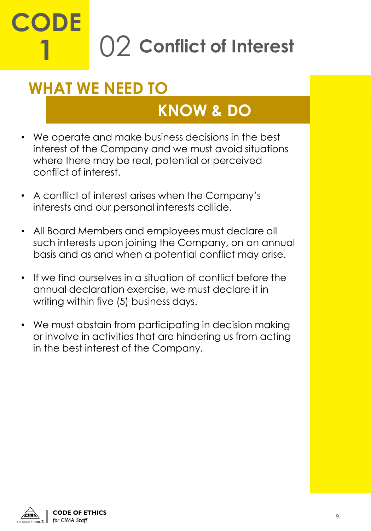# **CODE 1** 02 **Conflict of Interest**

#### **WHAT WE NEED TO**

- We operate and make business decisions in the best interest of the Company and we must avoid situations where there may be real, potential or perceived conflict of interest.
- A conflict of interest arises when the Company's interests and our personal interests collide.
- All Board Members and employees must declare all such interests upon joining the Company, on an annual basis and as and when a potential conflict may arise.
- If we find ourselves in a situation of conflict before the annual declaration exercise, we must declare it in writing within five (5) business days.
- We must abstain from participating in decision making or involve in activities that are hindering us from acting in the best interest of the Company.

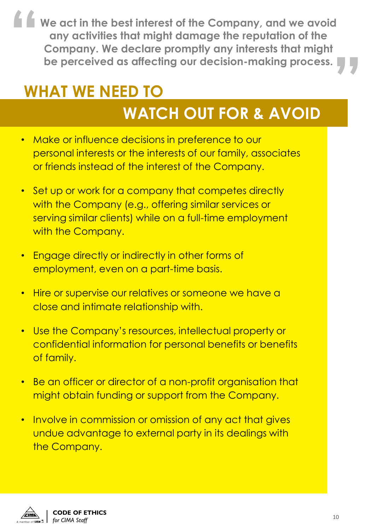**We act in the best interest of the Company, and we avoid any activities that might damage the reputation of the Company. We declare promptly any interests that might "** any activities that might damage the reputation of the<br>Company. We declare promptly any interests that might<br>be perceived as affecting our decision-making process.

### **WHAT WE NEED TO**

- Make or influence decisions in preference to our personal interests or the interests of our family, associates or friends instead of the interest of the Company.
- Set up or work for a company that competes directly with the Company (e.g., offering similar services or serving similar clients) while on a full-time employment with the Company.
- Engage directly or indirectly in other forms of employment, even on a part-time basis.
- Hire or supervise our relatives or someone we have a close and intimate relationship with.
- Use the Company's resources, intellectual property or confidential information for personal benefits or benefits of family.
- Be an officer or director of a non-profit organisation that might obtain funding or support from the Company.
- Involve in commission or omission of any act that gives undue advantage to external party in its dealings with the Company.

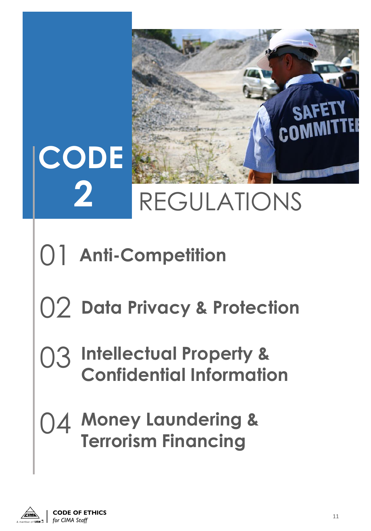

# 01 **Anti-Competition**

## 02 **Data Privacy & Protection**

### 03 **Intellectual Property & Confidential Information**

### 04 **Money Laundering & Terrorism Financing**

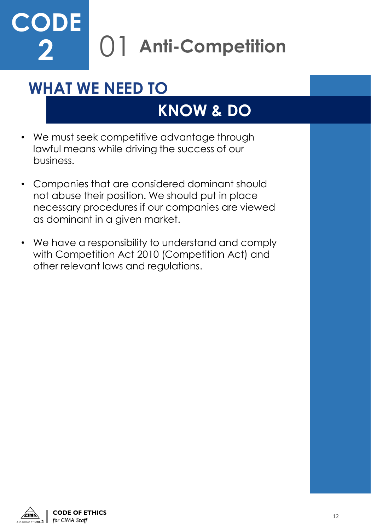### 01 **Anti-Competition CODE 2**

#### **WHAT WE NEED TO**

- We must seek competitive advantage through lawful means while driving the success of our business.
- Companies that are considered dominant should not abuse their position. We should put in place necessary procedures if our companies are viewed as dominant in a given market.
- We have a responsibility to understand and comply with Competition Act 2010 (Competition Act) and other relevant laws and regulations.

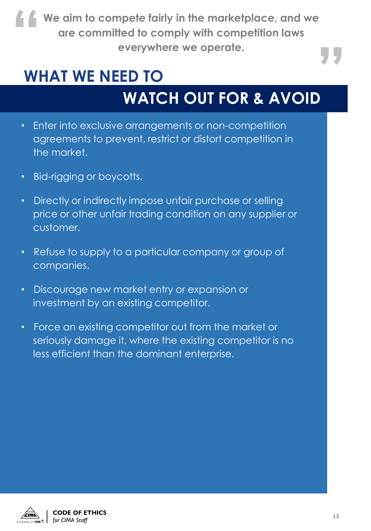**We aim to compete fairly in the marketplace, and we are committed to comply with competition laws " example is the matterplace, and we<br>ted to comply with competition laws<br>everywhere we operate.** 

#### **WHAT WE NEED TO**

### **WATCH OUT FOR & AVOID**

- Enter into exclusive arrangements or non-competition agreements to prevent, restrict or distort competition in the market.
- Bid-rigging or boycotts.
- Directly or indirectly impose unfair purchase or selling price or other unfair trading condition on any supplier or customer.
- Refuse to supply to a particular company or group of companies.
- Discourage new market entry or expansion or investment by an existing competitor.
- Force an existing competitor out from the market or seriously damage it, where the existing competitor is no less efficient than the dominant enterprise.



**CODE OF ETHICS**  *for CIMA Staff* 13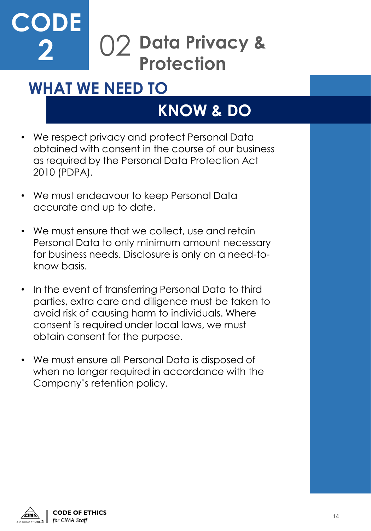#### **Data Privacy & Protection** 02 **CODE 2**

#### **WHAT WE NEED TO**

- We respect privacy and protect Personal Data obtained with consent in the course of our business as required by the Personal Data Protection Act 2010 (PDPA).
- We must endeavour to keep Personal Data accurate and up to date.
- We must ensure that we collect, use and retain Personal Data to only minimum amount necessary for business needs. Disclosure is only on a need-toknow basis.
- In the event of transferring Personal Data to third parties, extra care and diligence must be taken to avoid risk of causing harm to individuals. Where consent is required under local laws, we must obtain consent for the purpose.
- We must ensure all Personal Data is disposed of when no longer required in accordance with the Company's retention policy.

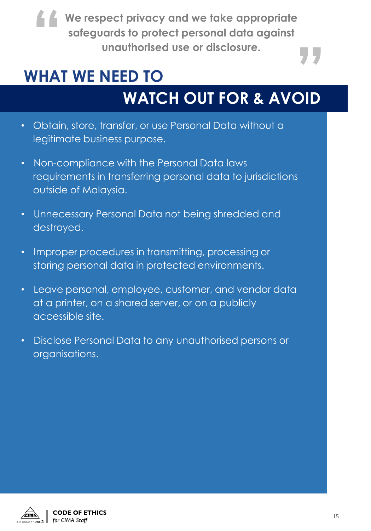**We respect privacy and we take appropriate safeguards to protect personal data against " under the set of the set of the set of the set of the set of the set of the set of disclosure.** 

#### **WHAT WE NEED TO**

- Obtain, store, transfer, or use Personal Data without a legitimate business purpose.
- Non-compliance with the Personal Data laws requirements in transferring personal data to jurisdictions outside of Malaysia.
- Unnecessary Personal Data not being shredded and destroyed.
- Improper procedures in transmitting, processing or storing personal data in protected environments.
- Leave personal, employee, customer, and vendor data at a printer, on a shared server, or on a publicly accessible site.
- Disclose Personal Data to any unauthorised persons or organisations.

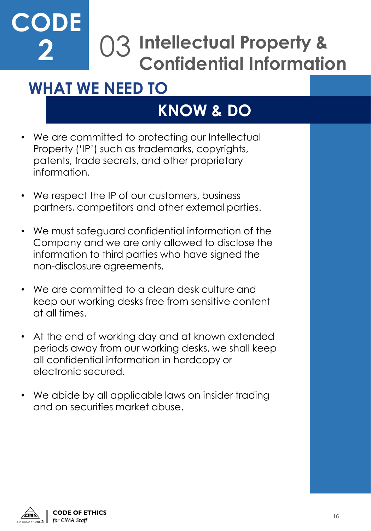#### **Intellectual Property &**  03 **Confidential Information CODE 2**

#### **WHAT WE NEED TO**

- We are committed to protecting our Intellectual Property ('IP') such as trademarks, copyrights, patents, trade secrets, and other proprietary information.
- We respect the IP of our customers, business partners, competitors and other external parties.
- We must safeguard confidential information of the Company and we are only allowed to disclose the information to third parties who have signed the non-disclosure agreements.
- We are committed to a clean desk culture and keep our working desks free from sensitive content at all times.
- At the end of working day and at known extended periods away from our working desks, we shall keep all confidential information in hardcopy or electronic secured.
- We abide by all applicable laws on insider trading and on securities market abuse.

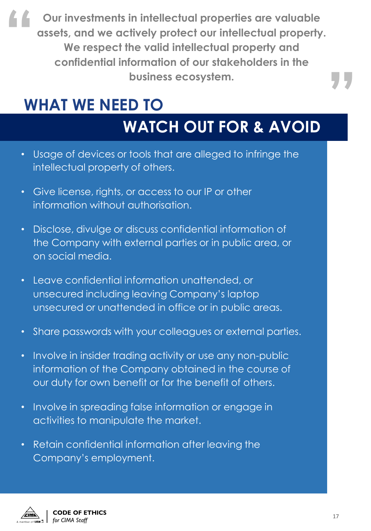**Our investments in intellectual properties are valuable assets, and we actively protect our intellectual property. We respect the valid intellectual property and confidential information of our stakeholders in the business ecosystem. "**

#### **WHAT WE NEED TO**

#### **WATCH OUT FOR & AVOID**

- Usage of devices or tools that are alleged to infringe the intellectual property of others.
- Give license, rights, or access to our IP or other information without authorisation.
- Disclose, divulge or discuss confidential information of the Company with external parties or in public area, or on social media.
- Leave confidential information unattended, or unsecured including leaving Company's laptop unsecured or unattended in office or in public areas.
- Share passwords with your colleagues or external parties.
- Involve in insider trading activity or use any non-public information of the Company obtained in the course of our duty for own benefit or for the benefit of others.
- Involve in spreading false information or engage in activities to manipulate the market.
- Retain confidential information after leaving the Company's employment.



**"**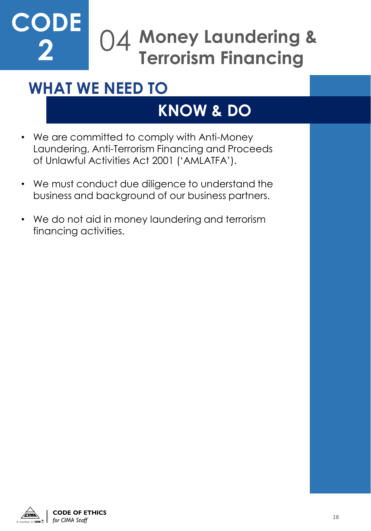#### **Money Laundering &**  04 **Terrorism Financing CODE 2**

#### **WHAT WE NEED TO**

- We are committed to comply with Anti-Money Laundering, Anti-Terrorism Financing and Proceeds of Unlawful Activities Act 2001 ('AMLATFA').
- We must conduct due diligence to understand the business and background of our business partners.
- We do not aid in money laundering and terrorism financing activities.

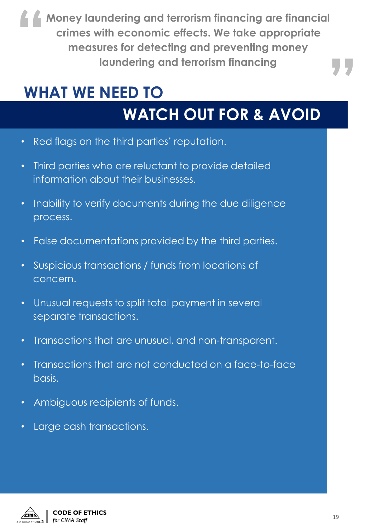**Money laundering and terrorism financing are financial crimes with economic effects. We take appropriate measures for detecting and preventing money "** vith economic effects. We take appropriate<br>Jres for detecting and preventing money<br>laundering and terrorism financing

#### **WHAT WE NEED TO**

- Red flags on the third parties' reputation.
- Third parties who are reluctant to provide detailed information about their businesses.
- Inability to verify documents during the due diligence process.
- False documentations provided by the third parties.
- Suspicious transactions / funds from locations of concern.
- Unusual requests to split total payment in several separate transactions.
- Transactions that are unusual, and non-transparent.
- Transactions that are not conducted on a face-to-face basis.
- Ambiguous recipients of funds.
- Large cash transactions.

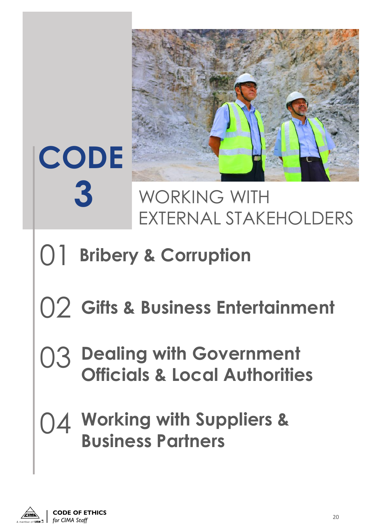

### WORKING WITH EXTERNAL STAKEHOLDERS

# 01 **Bribery & Corruption**

**CODE**

**3**

## 02 **Gifts & Business Entertainment**

### 03 **Dealing with Government Officials & Local Authorities**

### **Working with Suppliers &**  04 **Business Partners**

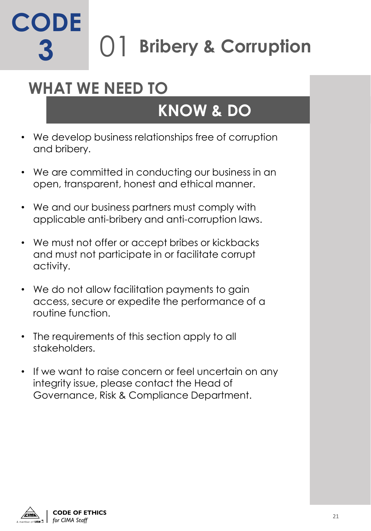#### 01 **Bribery & Corruption CODE 3**

#### **WHAT WE NEED TO**

- We develop business relationships free of corruption and bribery.
- We are committed in conducting our business in an open, transparent, honest and ethical manner.
- We and our business partners must comply with applicable anti-bribery and anti-corruption laws.
- We must not offer or accept bribes or kickbacks and must not participate in or facilitate corrupt activity.
- We do not allow facilitation payments to gain access, secure or expedite the performance of a routine function.
- The requirements of this section apply to all stakeholders.
- If we want to raise concern or feel uncertain on any integrity issue, please contact the Head of Governance, Risk & Compliance Department.

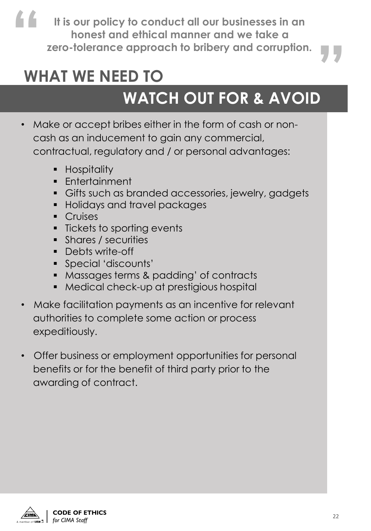**It is our policy to conduct all our businesses in an honest and ethical manner and we take a " zero-tolerance approach to bribery and corruption. "**

#### **WHAT WE NEED TO**

- Make or accept bribes either in the form of cash or noncash as an inducement to gain any commercial, contractual, regulatory and / or personal advantages:
	- **•** Hospitality
	- Entertainment
	- **Gifts such as branded accessories, jewelry, gadgets**
	- Holidays and travel packages
	- Cruises
	- Tickets to sporting events
	- Shares / securities
	- Debts write-off
	- Special 'discounts'
	- Massages terms & padding' of contracts
	- Medical check-up at prestigious hospital
- Make facilitation payments as an incentive for relevant authorities to complete some action or process expeditiously.
- Offer business or employment opportunities for personal benefits or for the benefit of third party prior to the awarding of contract.

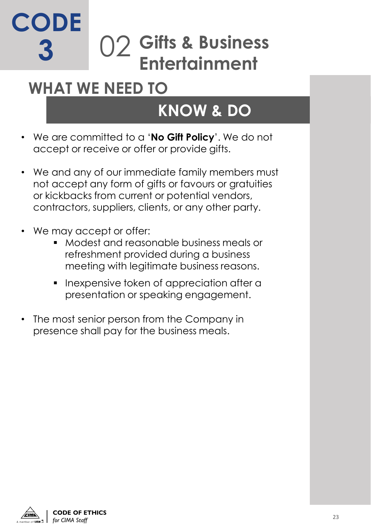#### **Gifts & Business Entertainment**  $()$ **CODE 3**

#### **WHAT WE NEED TO**

- We are committed to a '**No Gift Policy**'. We do not accept or receive or offer or provide gifts.
- We and any of our immediate family members must not accept any form of gifts or favours or gratuities or kickbacks from current or potential vendors, contractors, suppliers, clients, or any other party.
- We may accept or offer:
	- Modest and reasonable business meals or refreshment provided during a business meeting with legitimate business reasons.
	- **•** Inexpensive token of appreciation after a presentation or speaking engagement.
- The most senior person from the Company in presence shall pay for the business meals.

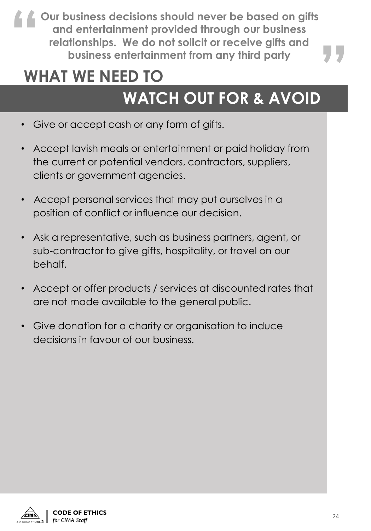**Our business decisions should never be based on gifts and entertainment provided through our business relationships. We do not solicit or receive gifts and " business decisions should never be based on gifts**<br>d entertainment provided through our business<br>tionships. We do not solicit or receive gifts and<br>business entertainment from any third party

#### **WHAT WE NEED TO**

- Give or accept cash or any form of gifts.
- Accept lavish meals or entertainment or paid holiday from the current or potential vendors, contractors, suppliers, clients or government agencies.
- Accept personal services that may put ourselves in a position of conflict or influence our decision.
- Ask a representative, such as business partners, agent, or sub-contractor to give gifts, hospitality, or travel on our behalf.
- Accept or offer products / services at discounted rates that are not made available to the general public.
- Give donation for a charity or organisation to induce decisions in favour of our business.

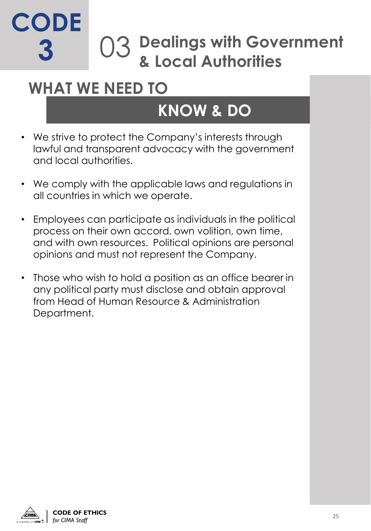### **Dealings with Government & Local Authorities** 03 **CODE 3**

#### **WHAT WE NEED TO**

- We strive to protect the Company's interests through lawful and transparent advocacy with the government and local authorities.
- We comply with the applicable laws and regulations in all countries in which we operate.
- Employees can participate as individuals in the political process on their own accord, own volition, own time, and with own resources. Political opinions are personal opinions and must not represent the Company.
- Those who wish to hold a position as an office bearer in any political party must disclose and obtain approval from Head of Human Resource & Administration Department.

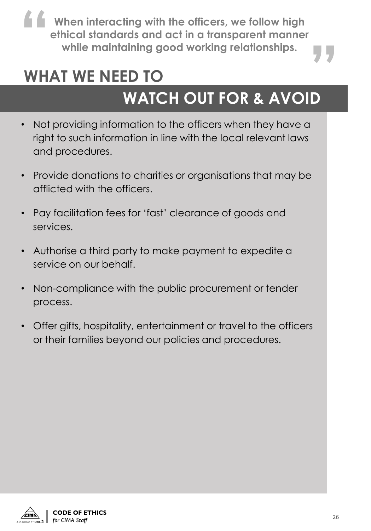**When interacting with the officers, we follow high ethical standards and act in a transparent manner 1**<br> **Example 18 When interacting with the officers, we follow high<br>
ethical standards and act in a transparent manner<br>
while maintaining good working relationships.** 

#### **WHAT WE NEED TO**

- Not providing information to the officers when they have a right to such information in line with the local relevant laws and procedures.
- Provide donations to charities or organisations that may be afflicted with the officers.
- Pay facilitation fees for 'fast' clearance of goods and services.
- Authorise a third party to make payment to expedite a service on our behalf.
- Non-compliance with the public procurement or tender process.
- Offer gifts, hospitality, entertainment or travel to the officers or their families beyond our policies and procedures.

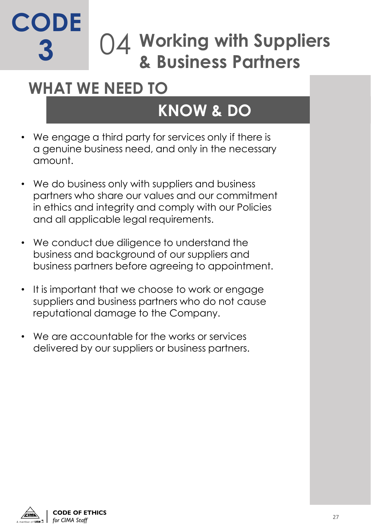#### **Working with Suppliers & Business Partners** 04 **CODE 3**

#### **WHAT WE NEED TO**

- We engage a third party for services only if there is a genuine business need, and only in the necessary amount.
- We do business only with suppliers and business partners who share our values and our commitment in ethics and integrity and comply with our Policies and all applicable legal requirements.
- We conduct due diligence to understand the business and background of our suppliers and business partners before agreeing to appointment.
- It is important that we choose to work or engage suppliers and business partners who do not cause reputational damage to the Company.
- We are accountable for the works or services delivered by our suppliers or business partners.

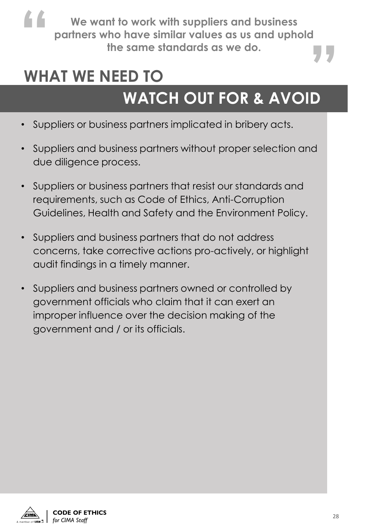**We want to work with suppliers and business partners who have similar values as us and uphold " the standard standard standard standards as us and uphold the same standards as we do.** 

#### **WHAT WE NEED TO**

- Suppliers or business partners implicated in bribery acts.
- Suppliers and business partners without proper selection and due diligence process.
- Suppliers or business partners that resist our standards and requirements, such as Code of Ethics, Anti-Corruption Guidelines, Health and Safety and the Environment Policy.
- Suppliers and business partners that do not address concerns, take corrective actions pro-actively, or highlight audit findings in a timely manner.
- Suppliers and business partners owned or controlled by government officials who claim that it can exert an improper influence over the decision making of the government and / or its officials.

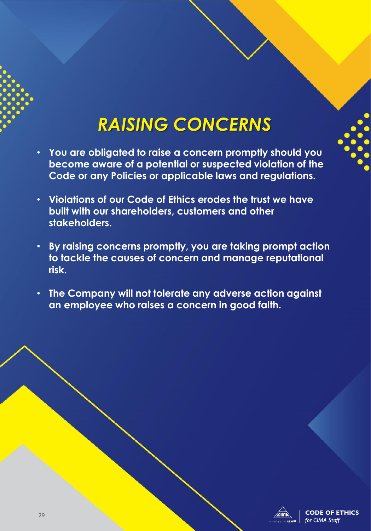#### *RAISING CONCERNS*

- **You are obligated to raise a concern promptly should you become aware of a potential or suspected violation of the Code or any Policies or applicable laws and regulations.**
- **Violations of our Code of Ethics erodes the trust we have built with our shareholders, customers and other stakeholders.**
- **By raising concerns promptly, you are taking prompt action to tackle the causes of concern and manage reputational risk.**
- **The Company will not tolerate any adverse action against an employee who raises a concern in good faith.**